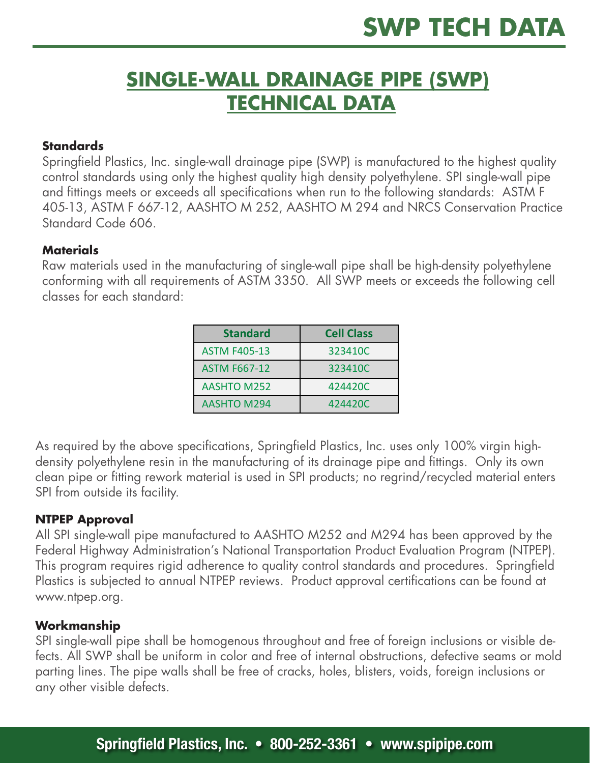# **SINGLE-WALL DRAINAGE PIPE (SWP) TECHNICAL DATA**

# **Standards**

Springfield Plastics, Inc. single-wall drainage pipe (SWP) is manufactured to the highest quality control standards using only the highest quality high density polyethylene. SPI single-wall pipe and fittings meets or exceeds all specifications when run to the following standards: ASTM F 405-13, ASTM F 667-12, AASHTO M 252, AASHTO M 294 and NRCS Conservation Practice Standard Code 606.

# **Materials**

Raw materials used in the manufacturing of single-wall pipe shall be high-density polyethylene conforming with all requirements of ASTM 3350. All SWP meets or exceeds the following cell classes for each standard:

| <b>Standard</b>     | <b>Cell Class</b> |
|---------------------|-------------------|
| <b>ASTM F405-13</b> | 323410C           |
| <b>ASTM F667-12</b> | 323410C           |
| <b>AASHTO M252</b>  | 424420C           |
| <b>AASHTO M294</b>  | 424420C           |

As required by the above specifications, Springfield Plastics, Inc. uses only 100% virgin highdensity polyethylene resin in the manufacturing of its drainage pipe and fittings. Only its own clean pipe or fitting rework material is used in SPI products; no regrind/recycled material enters SPI from outside its facility.

# **NTPEP Approval**

All SPI single-wall pipe manufactured to AASHTO M252 and M294 has been approved by the Federal Highway Administration's National Transportation Product Evaluation Program (NTPEP). This program requires rigid adherence to quality control standards and procedures. Springfield Plastics is subjected to annual NTPEP reviews. Product approval certifications can be found at www.ntpep.org.

# **Workmanship**

SPI single-wall pipe shall be homogenous throughout and free of foreign inclusions or visible defects. All SWP shall be uniform in color and free of internal obstructions, defective seams or mold parting lines. The pipe walls shall be free of cracks, holes, blisters, voids, foreign inclusions or any other visible defects.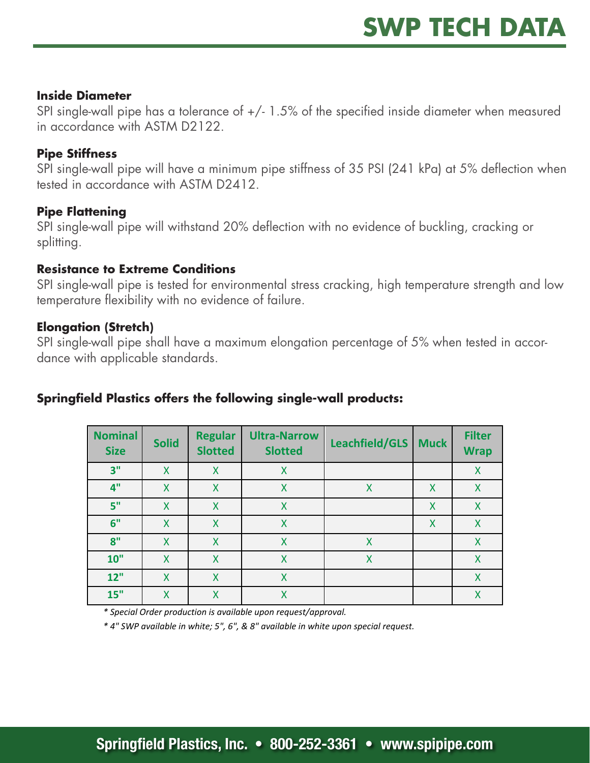#### **Inside Diameter**

SPI single-wall pipe has a tolerance of  $+/- 1.5\%$  of the specified inside diameter when measured in accordance with ASTM D2122.

# **Pipe Stiffness**

SPI single-wall pipe will have a minimum pipe stiffness of 35 PSI (241 kPa) at 5% deflection when tested in accordance with ASTM D2412.

# **Pipe Flattening**

SPI single-wall pipe will withstand 20% deflection with no evidence of buckling, cracking or splitting.

# **Resistance to Extreme Conditions**

SPI single-wall pipe is tested for environmental stress cracking, high temperature strength and low temperature flexibility with no evidence of failure.

# **Elongation (Stretch)**

SPI single-wall pipe shall have a maximum elongation percentage of 5% when tested in accordance with applicable standards.

# **Springfield Plastics offers the following single-wall products:**

| <b>Nominal</b><br><b>Size</b> | <b>Solid</b> | <b>Regular</b><br><b>Slotted</b> | <b>Ultra-Narrow</b><br><b>Slotted</b> | Leachfield/GLS | <b>Muck</b>               | <b>Filter</b><br><b>Wrap</b> |
|-------------------------------|--------------|----------------------------------|---------------------------------------|----------------|---------------------------|------------------------------|
| 3"                            | X            | X                                | X                                     |                |                           | X                            |
| 4"                            | X            | X                                | X                                     | X              | X                         | X                            |
| 5"                            | X            | X                                | X                                     |                | $\boldsymbol{\mathsf{X}}$ | X                            |
| 6"                            | X            | X                                | X                                     |                | $\boldsymbol{\mathsf{X}}$ | X                            |
| 8"                            | X            | X                                | X                                     | Χ              |                           | X                            |
| 10"                           | X            | X                                | X                                     | X              |                           | X                            |
| 12"                           | X            | X                                | X                                     |                |                           | X                            |
| 15"                           | X            | X                                | X                                     |                |                           | X                            |

*\* 
Special 
Order 
production 
is 
available 
upon 
request/approval.*

\* 4" SWP available in white; 5", 6", & 8" available in white upon special request.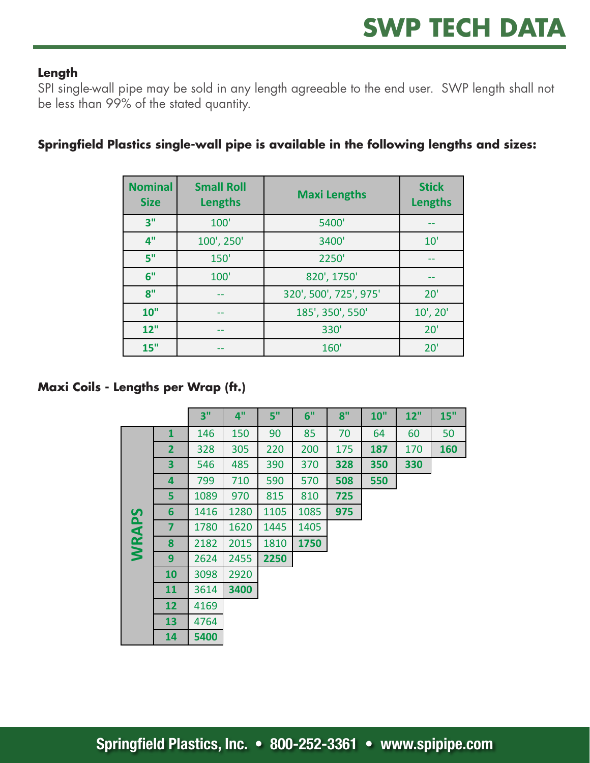# **Length**

SPI single-wall pipe may be sold in any length agreeable to the end user. SWP length shall not be less than 99% of the stated quantity.

| <b>Nominal</b><br><b>Size</b> | <b>Small Roll</b><br><b>Lengths</b> | <b>Maxi Lengths</b>    | <b>Stick</b><br>Lengths |
|-------------------------------|-------------------------------------|------------------------|-------------------------|
| 3"                            | 100'                                | 5400'                  |                         |
| 4"                            | 100', 250'                          | 3400'                  | 10'                     |
| 5"                            | 150'                                | 2250'                  |                         |
| 6"                            | 100'                                | 820', 1750'            |                         |
| 8"                            |                                     | 320', 500', 725', 975' | 20'                     |
| 10"                           | --                                  | 185', 350', 550'       | $10'$ , $20'$           |
| 12"                           |                                     | 330'                   | 20'                     |
| 15"                           |                                     | 160'                   | 20'                     |

# Springfield Plastics single-wall pipe is available in the following lengths and sizes:

**Maxi Coils - Lengths per Wrap (ft.) Maximum Coils** 

|      |                         | 3"   | 4"   | 5"   | 6"   | 8"  | 10" | 12" | 15" |
|------|-------------------------|------|------|------|------|-----|-----|-----|-----|
|      | $\mathbf{1}$            | 146  | 150  | 90   | 85   | 70  | 64  | 60  | 50  |
|      | $\overline{2}$          | 328  | 305  | 220  | 200  | 175 | 187 | 170 | 160 |
|      | $\overline{\mathbf{3}}$ | 546  | 485  | 390  | 370  | 328 | 350 | 330 |     |
|      | 4                       | 799  | 710  | 590  | 570  | 508 | 550 |     |     |
|      | 5                       | 1089 | 970  | 815  | 810  | 725 |     |     |     |
| S    | 6                       | 1416 | 1280 | 1105 | 1085 | 975 |     |     |     |
| WRAP | $\overline{\mathbf{z}}$ | 1780 | 1620 | 1445 | 1405 |     |     |     |     |
|      | 8                       | 2182 | 2015 | 1810 | 1750 |     |     |     |     |
|      | 9                       | 2624 | 2455 | 2250 |      |     |     |     |     |
|      | 10                      | 3098 | 2920 |      |      |     |     |     |     |
|      | 11                      | 3614 | 3400 |      |      |     |     |     |     |
|      | 12                      | 4169 |      |      |      |     |     |     |     |
|      | 13                      | 4764 |      |      |      |     |     |     |     |
|      | 14                      | 5400 |      |      |      |     |     |     |     |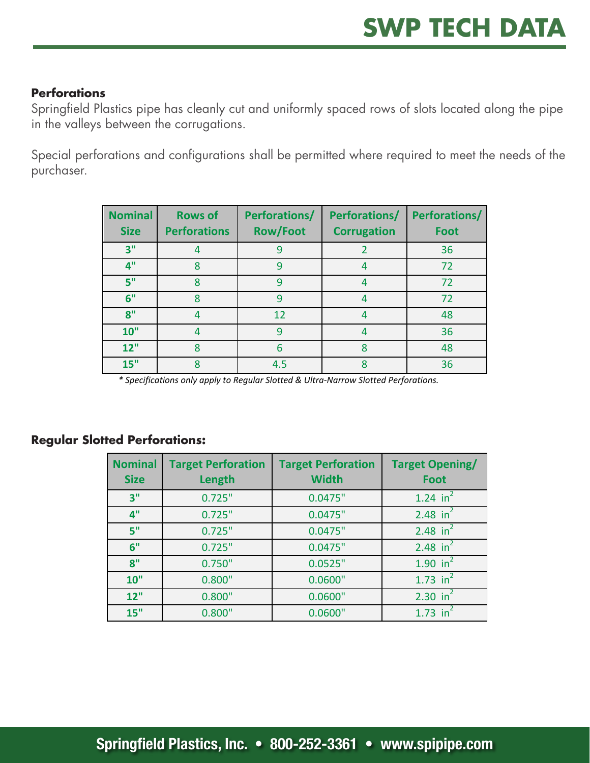# **Perforations**

Springfield Plastics pipe has cleanly cut and uniformly spaced rows of slots located along the pipe in the valleys between the corrugations.

Special perforations and configurations shall be permitted where required to meet the needs of the purchaser.

| <b>Nominal</b><br><b>Size</b> | <b>Rows of</b><br><b>Perforations</b> | <b>Perforations/</b><br><b>Row/Foot</b> | <b>Perforations/</b><br><b>Corrugation</b> | <b>Perforations/</b><br>Foot |
|-------------------------------|---------------------------------------|-----------------------------------------|--------------------------------------------|------------------------------|
| 3"                            | 4                                     | 9                                       |                                            | 36                           |
| 4"                            | 8                                     | 9                                       |                                            | 72                           |
| 5"                            | 8                                     | 9                                       | 4                                          | 72                           |
| 6"                            | 8                                     | 9                                       | 4                                          | 72                           |
| 8"                            | 4                                     | 12                                      | 4                                          | 48                           |
| 10"                           | 4                                     | 9                                       | 4                                          | 36                           |
| 12"                           | 8                                     | 6                                       | 8                                          | 48                           |
| 15"                           | 8                                     | 4.5                                     |                                            | 36                           |

*\* 
Specifications 
only 
apply 
to Regular 
Slotted 
& 
Ultra-‐Narrow 
Slotted 
Perforations.*

|  |  | <b>Regular Slotted Perforations:</b> |
|--|--|--------------------------------------|
|--|--|--------------------------------------|

| <b>Nominal</b><br><b>Size</b> | <b>Target Perforation</b><br>Length | <b>Target Perforation</b><br><b>Width</b> | <b>Target Opening/</b><br><b>Foot</b> |
|-------------------------------|-------------------------------------|-------------------------------------------|---------------------------------------|
| 3"                            | 0.725"                              | 0.0475"                                   | 1.24 $in^2$                           |
| 4"                            | 0.725"                              | 0.0475"                                   | 2.48 in <sup>2</sup>                  |
| 5"                            | 0.725"                              | 0.0475"                                   | 2.48 in <sup>2</sup>                  |
| 6"                            | 0.725"                              | 0.0475"                                   | 2.48 in $^{2}$                        |
| 8"                            | 0.750"                              | 0.0525"                                   | 1.90 $in^2$                           |
| 10"                           | 0.800"                              | 0.0600"                                   | 1.73 $in^2$                           |
| 12"                           | 0.800"                              | 0.0600"                                   | 2.30 $in^2$                           |
| 15"                           | 0.800"                              | 0.0600"                                   | 1.73 in <sup>2</sup>                  |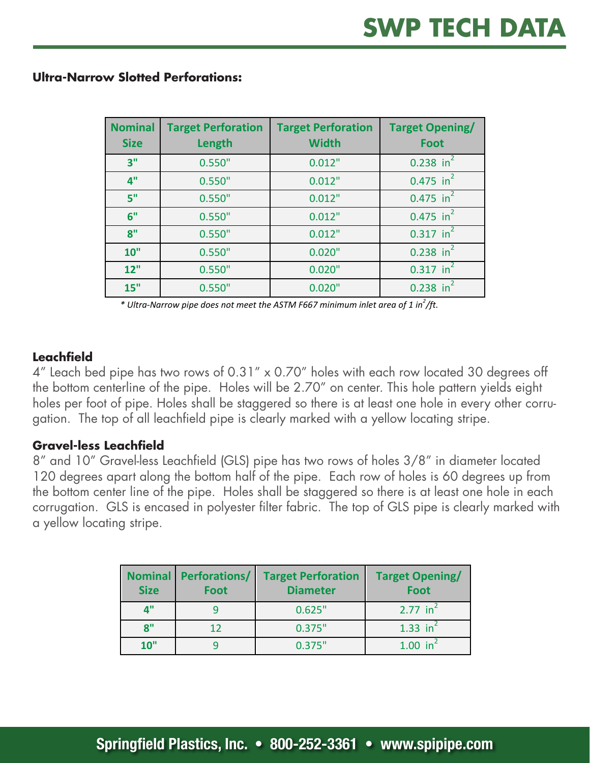| <b>Nominal</b><br><b>Size</b> | <b>Target Perforation</b><br>Length | <b>Target Perforation</b><br><b>Width</b> | <b>Target Opening/</b><br><b>Foot</b> |
|-------------------------------|-------------------------------------|-------------------------------------------|---------------------------------------|
| 3"                            | 0.550"                              | 0.012"                                    | $0.238$ in <sup>2</sup>               |
| 4"                            | 0.550"                              | 0.012"                                    | $0.475$ in <sup>2</sup>               |
| 5"                            | 0.550"                              | 0.012"                                    | $0.475$ in <sup>2</sup>               |
| 6"                            | 0.550"                              | 0.012"                                    | $0.475$ in <sup>2</sup>               |
| 8"                            | 0.550"                              | 0.012"                                    | $0.317$ in <sup>2</sup>               |
| 10"                           | 0.550"                              | 0.020"                                    | $0.238$ in <sup>2</sup>               |
| 12"                           | 0.550"                              | 0.020"                                    | $0.317$ in <sup>2</sup>               |
| 15"                           | 0.550"                              | 0.020"                                    | $in^2$<br>0.238                       |

#### **Ultra-Narrow Slotted Perforations:**

\* Ultra-Narrow pipe does not meet the ASTM F667 minimum inlet area of 1 in<sup>2</sup>/ft.

#### **Leachfield**

4" Leach bed pipe has two rows of 0.31" x 0.70" holes with each row located 30 degrees off the bottom centerline of the pipe. Holes will be 2.70" on center. This hole pattern yields eight holes per foot of pipe. Holes shall be staggered so there is at least one hole in every other corrugation. The top of all leachfield pipe is clearly marked with a yellow locating stripe.

# **Gravel-less Leachfield**

8" and 10" Gravel-less Leachfield (GLS) pipe has two rows of holes 3/8" in diameter located 120 degrees apart along the bottom half of the pipe. Each row of holes is 60 degrees up from the bottom center line of the pipe. Holes shall be staggered so there is at least one hole in each corrugation. GLS is encased in polyester filter fabric. The top of GLS pipe is clearly marked with a yellow locating stripe.

| <b>Nominal</b><br><b>Size</b> | Perforations/<br><b>Foot</b> | <b>Target Perforation</b><br><b>Diameter</b> | <b>Target Opening/</b><br>Foot              |
|-------------------------------|------------------------------|----------------------------------------------|---------------------------------------------|
| $\mathbf{A}^{\mathbf{u}}$     |                              | 0.625"                                       | 2.77 $in^2$                                 |
| 8"                            | 12                           | 0.375"                                       | 1.33 $in^2$                                 |
| 10"                           |                              | 0.375"                                       | $1.00$ in <sup><math>\triangle</math></sup> |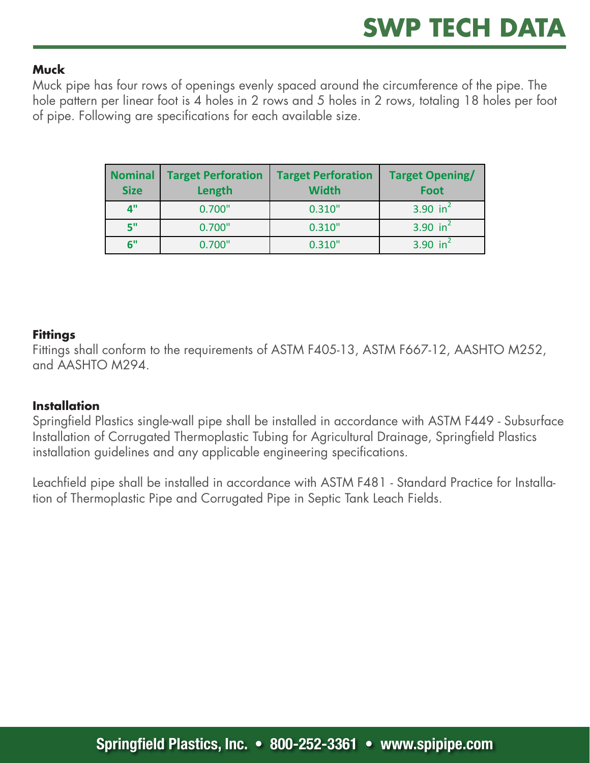# **Muck**

Muck pipe has four rows of openings evenly spaced around the circumference of the pipe. The hole pattern per linear foot is 4 holes in 2 rows and 5 holes in 2 rows, totaling 18 holes per foot of pipe. Following are specifications for each available size.

| <b>Nominal</b><br><b>Size</b> | <b>Target Perforation</b><br>Length | <b>Target Perforation</b><br><b>Width</b> | <b>Target Opening/</b><br>Foot |
|-------------------------------|-------------------------------------|-------------------------------------------|--------------------------------|
| 4"                            | 0.700"                              | 0.310"                                    | 3.90 in <sup>2</sup>           |
| 5"                            | 0.700"                              | 0.310"                                    | 3.90 $in^2$                    |
| 6"                            | 0.700"                              | 0.310"                                    | 3.90 $in^2$                    |

# **Fittings**

Fittings shall conform to the requirements of ASTM F405-13, ASTM F667-12, AASHTO M252, and AASHTO M294.

# **Installation**

Springfield Plastics single-wall pipe shall be installed in accordance with ASTM F449 - Subsurface Installation of Corrugated Thermoplastic Tubing for Agricultural Drainage, Springfield Plastics installation guidelines and any applicable engineering specifications.

Leachfield pipe shall be installed in accordance with ASTM F481 - Standard Practice for Installation of Thermoplastic Pipe and Corrugated Pipe in Septic Tank Leach Fields.